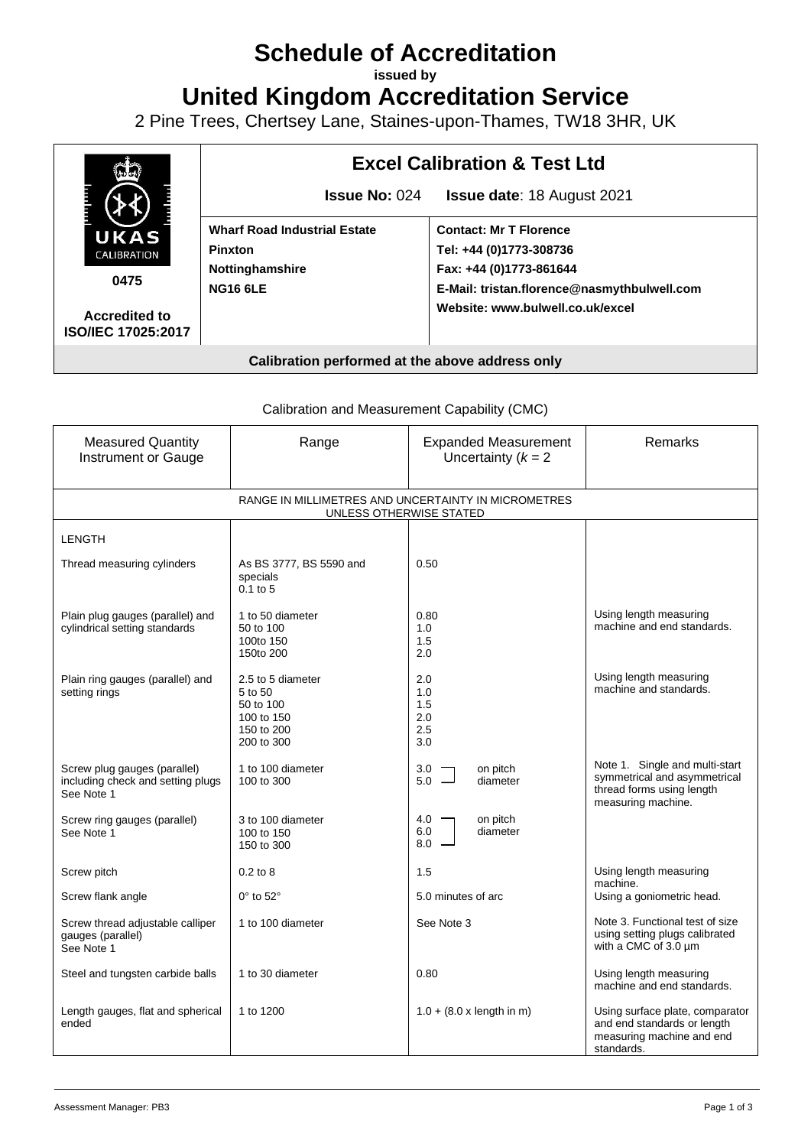# **Schedule of Accreditation**

**issued by**

**United Kingdom Accreditation Service**

2 Pine Trees, Chertsey Lane, Staines-upon-Thames, TW18 3HR, UK



# **Calibration performed at the above address only**

Calibration and Measurement Capability (CMC)

| <b>Measured Quantity</b><br><b>Instrument or Gauge</b>                          | Range                                                                               | <b>Expanded Measurement</b><br>Uncertainty $(k = 2)$ | Remarks                                                                                                           |  |
|---------------------------------------------------------------------------------|-------------------------------------------------------------------------------------|------------------------------------------------------|-------------------------------------------------------------------------------------------------------------------|--|
| RANGE IN MILLIMETRES AND UNCERTAINTY IN MICROMETRES<br>UNLESS OTHERWISE STATED  |                                                                                     |                                                      |                                                                                                                   |  |
| <b>LENGTH</b>                                                                   |                                                                                     |                                                      |                                                                                                                   |  |
| Thread measuring cylinders                                                      | As BS 3777, BS 5590 and<br>specials<br>0.1 to 5                                     | 0.50                                                 |                                                                                                                   |  |
| Plain plug gauges (parallel) and<br>cylindrical setting standards               | 1 to 50 diameter<br>50 to 100<br>100to 150<br>150to 200                             | 0.80<br>1.0<br>1.5<br>2.0                            | Using length measuring<br>machine and end standards.                                                              |  |
| Plain ring gauges (parallel) and<br>setting rings                               | 2.5 to 5 diameter<br>5 to 50<br>50 to 100<br>100 to 150<br>150 to 200<br>200 to 300 | 2.0<br>1.0<br>1.5<br>2.0<br>2.5<br>3.0               | Using length measuring<br>machine and standards.                                                                  |  |
| Screw plug gauges (parallel)<br>including check and setting plugs<br>See Note 1 | 1 to 100 diameter<br>100 to 300                                                     | on pitch<br>$\frac{3.0}{5.0}$ $\Box$<br>diameter     | Note 1. Single and multi-start<br>symmetrical and asymmetrical<br>thread forms using length<br>measuring machine. |  |
| Screw ring gauges (parallel)<br>See Note 1                                      | 3 to 100 diameter<br>100 to 150<br>150 to 300                                       | $4.0 -$<br>on pitch<br>diameter<br>6.0<br>$8.0 -$    |                                                                                                                   |  |
| Screw pitch                                                                     | $0.2$ to $8$                                                                        | 1.5                                                  | Using length measuring<br>machine.                                                                                |  |
| Screw flank angle                                                               | $0^\circ$ to $52^\circ$                                                             | 5.0 minutes of arc                                   | Using a goniometric head.                                                                                         |  |
| Screw thread adjustable calliper<br>gauges (parallel)<br>See Note 1             | 1 to 100 diameter                                                                   | See Note 3                                           | Note 3. Functional test of size<br>using setting plugs calibrated<br>with a CMC of 3.0 µm                         |  |
| Steel and tungsten carbide balls                                                | 1 to 30 diameter                                                                    | 0.80                                                 | Using length measuring<br>machine and end standards.                                                              |  |
| Length gauges, flat and spherical<br>ended                                      | 1 to 1200                                                                           | $1.0 + (8.0 \times \text{length in m})$              | Using surface plate, comparator<br>and end standards or length<br>measuring machine and end<br>standards.         |  |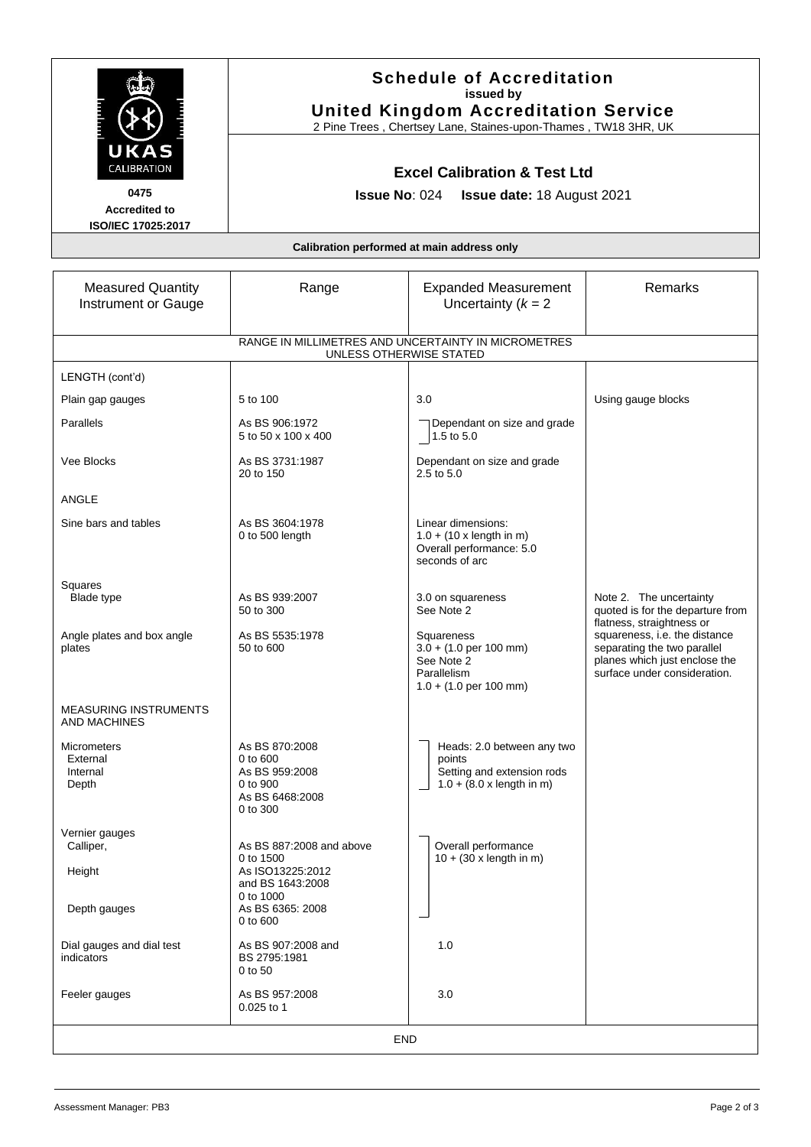|                                                                                | <b>Schedule of Accreditation</b><br>issued by<br><b>United Kingdom Accreditation Service</b><br>2 Pine Trees, Chertsey Lane, Staines-upon-Thames, TW18 3HR, UK<br><b>Excel Calibration &amp; Test Ltd</b><br><b>Issue No: 024 Issue date: 18 August 2021</b> |                                                                                                                                   |                                                                                                                               |  |
|--------------------------------------------------------------------------------|--------------------------------------------------------------------------------------------------------------------------------------------------------------------------------------------------------------------------------------------------------------|-----------------------------------------------------------------------------------------------------------------------------------|-------------------------------------------------------------------------------------------------------------------------------|--|
| UKAS<br>CALIBRATION<br>0475<br><b>Accredited to</b><br>ISO/IEC 17025:2017      |                                                                                                                                                                                                                                                              |                                                                                                                                   |                                                                                                                               |  |
| Calibration performed at main address only                                     |                                                                                                                                                                                                                                                              |                                                                                                                                   |                                                                                                                               |  |
| <b>Measured Quantity</b><br>Instrument or Gauge                                | Range                                                                                                                                                                                                                                                        | <b>Expanded Measurement</b><br>Uncertainty $(k = 2)$                                                                              | Remarks                                                                                                                       |  |
| RANGE IN MILLIMETRES AND UNCERTAINTY IN MICROMETRES<br>UNLESS OTHERWISE STATED |                                                                                                                                                                                                                                                              |                                                                                                                                   |                                                                                                                               |  |
| LENGTH (cont'd)                                                                |                                                                                                                                                                                                                                                              |                                                                                                                                   |                                                                                                                               |  |
| Plain gap gauges                                                               | 5 to 100                                                                                                                                                                                                                                                     | 3.0                                                                                                                               | Using gauge blocks                                                                                                            |  |
| Parallels                                                                      | As BS 906:1972<br>5 to 50 x 100 x 400                                                                                                                                                                                                                        | Dependant on size and grade<br>1.5 to 5.0                                                                                         |                                                                                                                               |  |
| Vee Blocks                                                                     | As BS 3731:1987<br>20 to 150                                                                                                                                                                                                                                 | Dependant on size and grade<br>2.5 to 5.0                                                                                         |                                                                                                                               |  |
| ANGLE                                                                          |                                                                                                                                                                                                                                                              |                                                                                                                                   |                                                                                                                               |  |
| Sine bars and tables                                                           | As BS 3604:1978<br>0 to 500 length                                                                                                                                                                                                                           | Linear dimensions:<br>$1.0 + (10 \times \text{length in m})$<br>Overall performance: 5.0<br>seconds of arc                        |                                                                                                                               |  |
| Squares<br>Blade type                                                          | As BS 939:2007<br>50 to 300                                                                                                                                                                                                                                  | 3.0 on squareness<br>See Note 2                                                                                                   | Note 2. The uncertainty<br>quoted is for the departure from<br>flatness, straightness or                                      |  |
| Angle plates and box angle<br>plates                                           | As BS 5535:1978<br>50 to 600                                                                                                                                                                                                                                 | Squareness<br>$3.0 + (1.0 \text{ per } 100 \text{ mm})$<br>See Note 2<br>Parallelism<br>$1.0 + (1.0 \text{ per } 100 \text{ mm})$ | squareness, i.e. the distance<br>separating the two parallel<br>planes which just enclose the<br>surface under consideration. |  |
| <b>MEASURING INSTRUMENTS</b><br><b>AND MACHINES</b>                            |                                                                                                                                                                                                                                                              |                                                                                                                                   |                                                                                                                               |  |
| Micrometers<br>External<br>Internal<br>Depth                                   | As BS 870:2008<br>0 to 600<br>As BS 959:2008<br>0 to 900<br>As BS 6468:2008<br>0 to 300                                                                                                                                                                      | Heads: 2.0 between any two<br>points<br>Setting and extension rods<br>$1.0 + (8.0 \times \text{length in m})$                     |                                                                                                                               |  |
| Vernier gauges<br>Calliper,                                                    | As BS 887:2008 and above<br>0 to 1500                                                                                                                                                                                                                        | Overall performance<br>$10 + (30 \times \text{length in m})$                                                                      |                                                                                                                               |  |
| Height<br>Depth gauges                                                         | As ISO13225:2012<br>and BS 1643:2008<br>0 to 1000<br>As BS 6365: 2008<br>0 to 600                                                                                                                                                                            |                                                                                                                                   |                                                                                                                               |  |
| Dial gauges and dial test<br>indicators                                        | As BS 907:2008 and<br>BS 2795:1981<br>0 to 50                                                                                                                                                                                                                | 1.0                                                                                                                               |                                                                                                                               |  |
| Feeler gauges                                                                  | As BS 957:2008<br>$0.025$ to 1                                                                                                                                                                                                                               | 3.0                                                                                                                               |                                                                                                                               |  |
| <b>END</b>                                                                     |                                                                                                                                                                                                                                                              |                                                                                                                                   |                                                                                                                               |  |